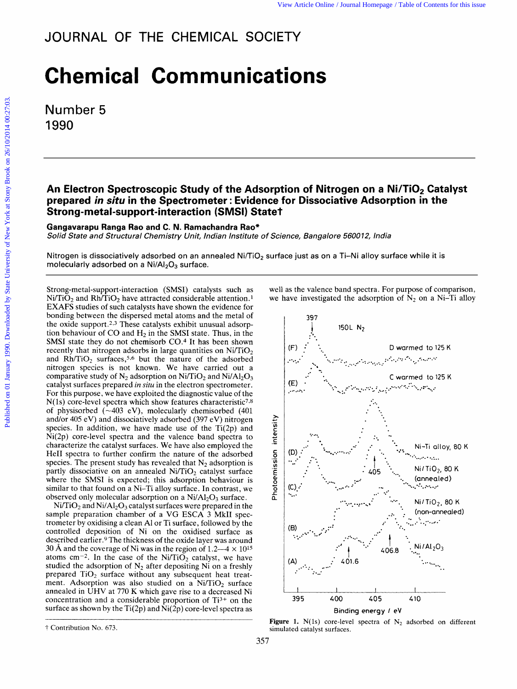## **Chemical Communications**

Number 5 1990

## An Electron Spectroscopic Study of the Adsorption of Nitrogen on a Ni/TiO<sub>2</sub> Catalyst **prepared** <br>**prepared in situ in the Spectrometer : Evidence for Dissociative Adsorption in the Spectrometer : Evidence for Dissociative Adsorption in the Spectrometal-support-interaction (SMSI) Statet and all support-inte Strong-metal-support-interaction (SMSI) Statet sorption of Nitrogen on a Ni/TiO<sub>2</sub> Catalyst<br>nce for Dissociative Adsorption in the<br>ate†**<br>of Science, Bangalore 560012, India

Gangavarapu Ranga Rao and C. N. Ramachandra Rao\*

Solid State and Structural Chemistry Unit, Indian Institute

Nitrogen is dissociatively adsorbed on an annealed Ni/Ti02 surface just as on a Ti-Ni alloy surface while **it is**  molecularly adsorbed on a Ni/AI<sub>2</sub>O<sub>3</sub> surface. **action (SMSI) Statet**<br>. **Ramachandra Rao\***<br>/ *Unit, Indian Institute of Science, Bangalore 560012, India*<br>pn an annealed Ni/TiO<sub>2</sub> surface just as on a Ti–Ni alloy surface while it is<br>surface.

Strong-metal-support-interaction (SMSI) catalysts such as  $Ni/TiO<sub>2</sub>$  and Rh/TiO<sub>2</sub> have attracted considerable attention.<sup>1</sup> EXAFS studies of such catalysts have shown the evidence for bonding between the dispersed metal atoms and the metal of the oxide support.<sup>2,3</sup> These catalysts exhibit unusual adsorption behaviour of CO and  $H_2$  in the SMSI state. Thus, in the Strong-metal-support-interaction (SMSI) catalysts such as<br>
Ni/TiO<sub>2</sub> and Rh/TiO<sub>2</sub> have attracted considerable attention.<sup>1</sup> we have investigated the adsorption of N<sub>2</sub> on a Ni-Ti alloy<br>
EXAFS studies of such catalysts ha recently that nitrogen adsorbs in large quantities on  $Ni/TiO<sub>2</sub>$ and  $Rh/TiO<sub>2</sub>$  surfaces,<sup>5,6</sup> but the nature of the adsorbed nitrogen species is not known. We have carried out a comparative study of  $N_2$  adsorption on Ni/TiO<sub>2</sub> and Ni/Al<sub>2</sub>O<sub>3</sub> For this purpose, we have exploited the diagnostic value of the  $N(1s)$  core-level spectra which show features characteristic<sup>7,8</sup> of physisorbed  $(-403 \text{ eV})$ , molecularly chemisorbed  $(401$ and/or 405 eV) and dissociatively adsorbed (397 eV) nitrogen species. In addition, we have made use of the  $Ti(2p)$  and Ni(2p) core-level spectra and the valence band spectra to characterize the catalyst surfaces. We have also employed the He11 spectra to further confirm the nature of the adsorbed species. The present study has revealed that  $N_2$  adsorption is partly dissociative on an annealed  $Ni/TiO<sub>2</sub>$  catalyst surface where the SMSI is expected; this adsorption behaviour is similar to that found on a Ni-Ti alloy surface. In contrast, we observed only molecular adsorption on a  $Ni/Al<sub>2</sub>O<sub>3</sub>$  surface.

 $Ni/TiO<sub>2</sub>$  and  $Ni/Al<sub>2</sub>O<sub>3</sub>$  catalyst surfaces were prepared in the sample preparation chamber of a VG ESCA 3 MkII spectrometer by oxidising a clean A1 or Ti surface, followed by the controlled deposition of Ni on the oxidised surface as described earlier.9 The thickness of the oxide layer was around atoms cm<sup>-2</sup>. In the case of the Ni/TiO<sub>2</sub> catalyst, we have studied the adsorption of  $N_2$  after depositing Ni on a freshly prepared  $TiO<sub>2</sub>$  surface without any subsequent heat treatment. Adsorption was also studied on a  $Ni/TiO<sub>2</sub>$  surface annealed in UHV at 770 K which gave rise to a decreased Ni concentration and a considerable proportion of Ti3+ on the surface as shown by the Ti(2p) and  $\text{Ni}(2\text{p})$  core-level spectra as

well as the valence band spectra. For purpose of comparison, we have investigated the adsorption of  $N_2$  on a Ni-Ti alloy urface just as on a Ti-Ni alloy surface while it is<br>well as the valence band spectra. For purpose of comparison,<br>we have investigated the adsorption of N<sub>2</sub> on a Ni-Ti alloy<br> $\frac{397}{1000}$ 



**Figure 1.**  $N(1s)$  core-level spectra of  $N_2$  adsorbed on different t Contribution No. 673. simulated catalyst surfaces.